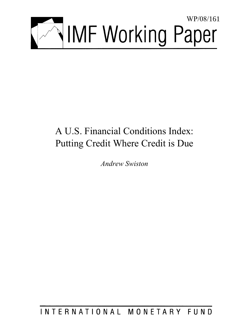

# A U.S. Financial Conditions Index: Putting Credit Where Credit is Due

*Andrew Swiston* 

INTERNATIONAL MONETARY FUND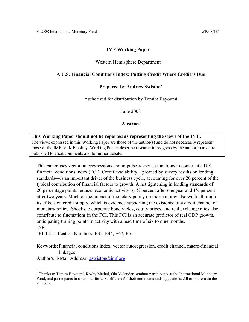## **IMF Working Paper**

#### Western Hemisphere Department

#### **A U.S. Financial Conditions Index: Putting Credit Where Credit is Due**

#### **Prepared by Andrew Swiston[1](#page-2-0)**

Authorized for distribution by Tamim Bayoumi

June 2008

#### **Abstract**

## **This Working Paper should not be reported as representing the views of the IMF.** The views expressed in this Working Paper are those of the author(s) and do not necessarily represent those of the IMF or IMF policy. Working Papers describe research in progress by the author(s) and are published to elicit comments and to further debate.

This paper uses vector autoregressions and impulse-response functions to construct a U.S. financial conditions index (FCI). Credit availability—proxied by survey results on lending standards—is an important driver of the business cycle, accounting for over 20 percent of the typical contribution of financial factors to growth. A net tightening in lending standards of 20 percentage points reduces economic activity by ¾ percent after one year and 1¼ percent after two years. Much of the impact of monetary policy on the economy also works through its effects on credit supply, which is evidence supporting the existence of a credit channel of monetary policy. Shocks to corporate bond yields, equity prices, and real exchange rates also contribute to fluctuations in the FCI. This FCI is an accurate predictor of real GDP growth, anticipating turning points in activity with a lead time of six to nine months. 15B

JEL Classification Numbers: E32, E44, E47, E51

Keywords:Financial conditions index, vector autoregression, credit channel, macro-financial linkages

Author's E-Mail Address: [aswiston@imf.org](mailto:aswiston@imf.org)

 $\overline{a}$ 

<span id="page-2-0"></span><sup>&</sup>lt;sup>1</sup> Thanks to Tamim Bayoumi, Koshy Mathai, Ola Melander, seminar participants at the International Monetary Fund, and participants in a seminar for U.S. officials for their comments and suggestions. All errors remain the author's.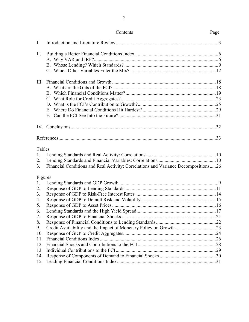| Contents | Page |
|----------|------|
|----------|------|

| $\mathbf{I}$ .                       |                                                                                    |  |
|--------------------------------------|------------------------------------------------------------------------------------|--|
| II.                                  |                                                                                    |  |
|                                      |                                                                                    |  |
|                                      |                                                                                    |  |
|                                      |                                                                                    |  |
|                                      |                                                                                    |  |
|                                      |                                                                                    |  |
|                                      |                                                                                    |  |
|                                      |                                                                                    |  |
| Tables<br>1.<br>2.<br>3 <sub>1</sub> | Financial Conditions and Real Activity: Correlations and Variance Decompositions26 |  |
| Figures                              |                                                                                    |  |
| 1.                                   |                                                                                    |  |
| 2.                                   |                                                                                    |  |
| 3 <sub>1</sub>                       |                                                                                    |  |
| 4.                                   |                                                                                    |  |
| 5.                                   |                                                                                    |  |
| 6.                                   |                                                                                    |  |
| 7.                                   |                                                                                    |  |
| 8.<br>9.                             | Credit Availability and the Impact of Monetary Policy on Growth 23                 |  |
| 10.                                  |                                                                                    |  |
| 11.                                  |                                                                                    |  |
| 12.                                  |                                                                                    |  |
| 13.                                  |                                                                                    |  |
| 14.                                  |                                                                                    |  |
| 15.                                  |                                                                                    |  |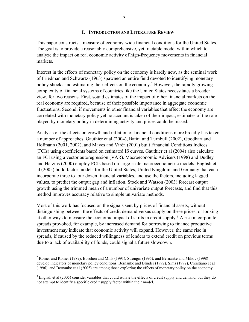#### **I. INTRODUCTION AND LITERATURE REVIEW**

This paper constructs a measure of economy-wide financial conditions for the United States. The goal is to provide a reasonably comprehensive, yet tractable model within which to analyze the impact on real economic activity of high-frequency movements in financial markets.

Interest in the effects of monetary policy on the economy is hardly new, as the seminal work of Friedman and Schwartz (1963) spawned an entire field devoted to identifying monetary policy shocks and estimating their effects on the economy.<sup>[2](#page-4-0)</sup> However, the rapidly growing complexity of financial systems of countries like the United States necessitates a broader view, for two reasons. First, sound estimates of the impact of other financial markets on the real economy are required, because of their possible importance in aggregate economic fluctuations. Second, if movements in other financial variables that affect the economy are correlated with monetary policy yet no account is taken of their impact, estimates of the role played by monetary policy in determining activity and prices could be biased.

Analysis of the effects on growth and inflation of financial conditions more broadly has taken a number of approaches. Gauthier et al (2004), Batini and Turnbull (2002), Goodhart and Hofmann (2001, 2002), and Mayes and Virén (2001) built Financial Conditions Indices (FCIs) using coefficients based on estimated IS curves. Gauthier et al (2004) also calculate an FCI using a vector autoregression (VAR). Macroeconomic Advisers (1998) and Dudley and Hatzius (2000) employ FCIs based on large-scale macroeconometric models. English et al (2005) build factor models for the United States, United Kingdom, and Germany that each incorporate three to four dozen financial variables, and use the factors, including lagged values, to predict the output gap and inflation. Stock and Watson (2003) forecast output growth using the trimmed mean of a number of univariate output forecasts, and find that this method improves accuracy relative to simple univariate methods.

Most of this work has focused on the signals sent by prices of financial assets, without distinguishing between the effects of credit demand versus supply on these prices, or looking at other ways to measure the economic impact of shifts in credit supply.<sup>[3](#page-4-1)</sup> A rise in corporate spreads provoked, for example, by increased demand for borrowing to finance productive investment may indicate that economic activity will expand. However, the same rise in spreads, if caused by the reduced willingness of lenders to extend credit on previous terms due to a lack of availability of funds, could signal a future slowdown.

<span id="page-4-0"></span><sup>&</sup>lt;sup>2</sup> Romer and Romer (1989), Boschen and Mills (1991), Strongin (1995), and Bernanke and Mihov (1998) develop indicators of monetary policy conditions. Bernanke and Blinder (1992), Sims (1992), Christiano et al (1996), and Bernanke et al (2005) are among those exploring the effects of monetary policy on the economy.

<span id="page-4-1"></span> $3$  English et al (2005) consider variables that could isolate the effects of credit supply and demand, but they do not attempt to identify a specific credit supply factor within their model.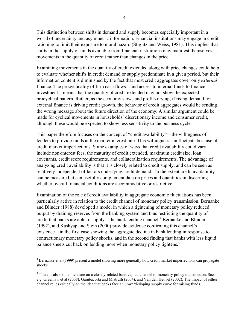This distinction between shifts in demand and supply becomes especially important in a world of uncertainty and asymmetric information. Financial institutions may engage in credit rationing to limit their exposure to moral hazard (Stiglitz and Weiss, 1981). This implies that shifts in the supply of funds available from financial institutions may manifest themselves as movements in the quantity of credit rather than changes in the price.

Examining movements in the quantity of credit extended along with price changes could help to evaluate whether shifts in credit demand or supply predominate in a given period, but their information content is diminished by the fact that most credit aggregates cover only *external* finance. The procyclicality of firm cash flows—and access to internal funds to finance investment—means that the quantity of credit extended may not show the expected procyclical pattern. Rather, as the economy slows and profits dry up, if rising demand for external finance is driving credit growth, the behavior of credit aggregates would be sending the wrong message about the future direction of the economy. A similar argument could be made for cyclical movements in households' discretionary income and consumer credit, although these would be expected to show less sensitivity to the business cycle.

This paper therefore focuses on the concept of "credit availability"—the willingness of lenders to provide funds at the market interest rate. This willingness can fluctuate because of credit market imperfections. Some examples of ways that credit availability could vary include non-interest fees, the maturity of credit extended, maximum credit size, loan covenants, credit score requirements, and collateralization requirements. The advantage of analyzing credit availability is that it is closely related to credit supply, and can be seen as relatively independent of factors underlying credit demand. To the extent credit availability can be measured, it can usefully complement data on prices and quantities in discerning whether overall financial conditions are accommodative or restrictive.

Examination of the role of credit availability in aggregate economic fluctuations has been particularly active in relation to the credit channel of monetary policy transmission. Bernanke and Blinder (1988) developed a model in which a tightening of monetary policy reduced output by draining reserves from the banking system and thus restricting the quantity of credit that banks are able to supply—the bank lending channel.<sup>[4](#page-5-0)</sup> Bernanke and Blinder (1992), and Kashyap and Stein (2000) provide evidence confirming this channel's existence—in the first case showing the aggregate decline in bank lending in response to contractionary monetary policy shocks, and in the second finding that banks with less liquid balance sheets cut back on lending more when monetary policy tightens.<sup>[5](#page-5-1)</sup>

<span id="page-5-0"></span> 4 Bernanke et al (1999) present a model showing more generally how credit market imperfections can propagate shocks.

<span id="page-5-1"></span> $<sup>5</sup>$  There is also some literature on a closely-related bank capital channel of monetary policy transmission. See,</sup> e.g. Greenlaw et al (2008), Gambacorta and Mistrulli (2004), and Van den Heuvel (2002). The impact of either channel relies critically on the idea that banks face an upward-sloping supply curve for raising funds.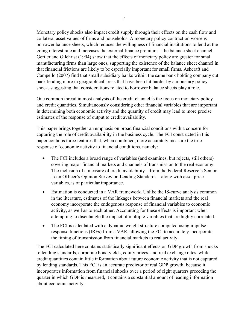Monetary policy shocks also impact credit supply through their effects on the cash flow and collateral asset values of firms and households. A monetary policy contraction worsens borrower balance sheets, which reduces the willingness of financial institutions to lend at the going interest rate and increases the external finance premium—the balance sheet channel. Gertler and Gilchrist (1994) show that the effects of monetary policy are greater for small manufacturing firms than large ones, supporting the existence of the balance sheet channel in that financial frictions are likely to be especially important for small firms. Ashcraft and Campello (2007) find that small subsidiary banks within the same bank holding company cut back lending more in geographical areas that have been hit harder by a monetary policy shock, suggesting that considerations related to borrower balance sheets play a role.

One common thread in most analysis of the credit channel is the focus on monetary policy and credit quantities. Simultaneously considering other financial variables that are important in determining both economic activity and the quantity of credit may lead to more precise estimates of the response of output to credit availability.

This paper brings together an emphasis on broad financial conditions with a concern for capturing the role of credit availability in the business cycle. The FCI constructed in this paper contains three features that, when combined, more accurately measure the true response of economic activity to financial conditions, namely:

- The FCI includes a broad range of variables (and examines, but rejects, still others) covering major financial markets and channels of transmission to the real economy. The inclusion of a measure of credit availability—from the Federal Reserve's Senior Loan Officer's Opinion Survey on Lending Standards—along with asset price variables, is of particular importance.
- Estimation is conducted in a VAR framework. Unlike the IS-curve analysis common in the literature, estimates of the linkages between financial markets and the real economy incorporate the endogenous response of financial variables to economic activity, as well as to each other. Accounting for these effects is important when attempting to disentangle the impact of multiple variables that are highly correlated.
- The FCI is calculated with a dynamic weight structure computed using impulseresponse functions (IRFs) from a VAR, allowing the FCI to accurately incorporate the timing of transmission from financial markets to real activity.

The FCI calculated here contains statistically significant effects on GDP growth from shocks to lending standards, corporate bond yields, equity prices, and real exchange rates, while credit quantities contain little information about future economic activity that is not captured by lending standards. This FCI is an accurate predictor of real GDP growth; because it incorporates information from financial shocks over a period of eight quarters preceding the quarter in which GDP is measured, it contains a substantial amount of leading information about economic activity.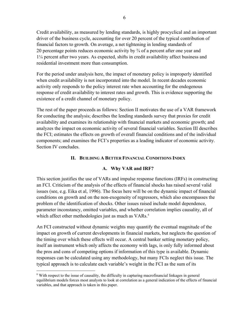Credit availability, as measured by lending standards, is highly procyclical and an important driver of the business cycle, accounting for over 20 percent of the typical contribution of financial factors to growth. On average, a net tightening in lending standards of 20 percentage points reduces economic activity by ¾ of a percent after one year and 1¼ percent after two years. As expected, shifts in credit availability affect business and residential investment more than consumption.

For the period under analysis here, the impact of monetary policy is improperly identified when credit availability is not incorporated into the model. In recent decades economic activity only responds to the policy interest rate when accounting for the endogenous response of credit availability to interest rates and growth. This is evidence supporting the existence of a credit channel of monetary policy.

The rest of the paper proceeds as follows: Section II motivates the use of a VAR framework for conducting the analysis; describes the lending standards survey that proxies for credit availability and examines its relationship with financial markets and economic growth; and analyzes the impact on economic activity of several financial variables. Section III describes the FCI; estimates the effects on growth of overall financial conditions and of the individual components; and examines the FCI's properties as a leading indicator of economic activity. Section IV concludes.

## **II. BUILDING A BETTER FINANCIAL CONDITIONS INDEX**

## **A. Why VAR and IRF?**

This section justifies the use of VARs and impulse response functions (IRFs) in constructing an FCI. Criticism of the analysis of the effects of financial shocks has raised several valid issues (see, e.g. Eika et al, 1996). The focus here will be on the dynamic impact of financial conditions on growth and on the non-exogeneity of regressors, which also encompasses the problem of the identification of shocks. Other issues raised include model dependence, parameter inconstancy, omitted variables, and whether correlation implies causality, all of which affect other methodologies just as much as VARs.<sup>[6](#page-7-0)</sup>

An FCI constructed without dynamic weights may quantify the eventual magnitude of the impact on growth of current developments in financial markets, but neglects the question of the timing over which these effects will occur. A central banker setting monetary policy, itself an instrument which only affects the economy with lags, is only fully informed about the pros and cons of competing options if information of this type is available. Dynamic responses can be calculated using any methodology, but many FCIs neglect this issue. The typical approach is to calculate each variable's weight in the FCI as the sum of its

 $\overline{a}$ 

<span id="page-7-0"></span><sup>&</sup>lt;sup>6</sup> With respect to the issue of causality, the difficulty in capturing macrofinancial linkages in general equilibrium models forces most analysts to look at correlation as a general indication of the effects of financial variables, and that approach is taken in this paper.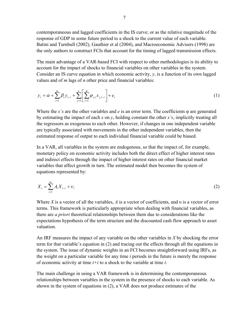contemporaneous and lagged coefficients in the IS curve; or as the relative magnitude of the response of GDP in some future period to a shock to the current value of each variable. Batini and Turnbull (2002), Gauthier et al (2004), and Macroeconomic Advisers (1998) are the only authors to construct FCIs that account for the timing of lagged transmission effects.

The main advantage of a VAR-based FCI with respect to other methodologies is its ability to account for the impact of shocks to financial variables on other variables in the system. Consider an IS curve equation in which economic activity, *y*, is a function of its own lagged values and of *m* lags of *n* other price and financial variables:

$$
y_{t} = \alpha + \sum_{i=1}^{m} \beta_{i} y_{t-i} + \sum_{j=1}^{n} \left[ \sum_{i=1}^{m} \varphi_{j,i} x_{j,t-i} \right] + e_{t}
$$
 (1)

Where the *x's* are the other variables and  $e$  is an error term. The coefficients  $\varphi$  are generated by estimating the impact of each *x* on *y*, holding constant the other *x's*, implicitly treating all the regressors as exogenous to each other. However, if changes in one independent variable are typically associated with movements in the other independent variables, then the estimated response of output to each individual financial variable could be biased.

In a VAR, all variables in the system are endogenous, so that the impact of, for example, monetary policy on economic activity includes both the direct effect of higher interest rates and indirect effects through the impact of higher interest rates on other financial market variables that affect growth in turn. The estimated model then becomes the system of equations represented by:

$$
X_t = \sum_{i=1}^m A_i X_{t-i} + v_t
$$
 (2)

Where *X* is a vector of all the variables, *A* is a vector of coefficients, and υ is a vector of error terms. This framework is particularly appropriate when dealing with financial variables, as there are *a priori* theoretical relationships between them due to considerations like the expectations hypothesis of the term structure and the discounted cash flow approach to asset valuation.

An IRF measures the impact of any variable on the other variables in *X* by shocking the error term for that variable's equation in (2) and tracing out the effects through all the equations in the system. The issue of dynamic weights in an FCI becomes straightforward using IRFs, as the weight on a particular variable for any time *i* periods in the future is merely the response of economic activity at time *t+i* to a shock to the variable at time *t*.

The main challenge in using a VAR framework is in determining the contemporaneous relationships between variables in the system in the presence of shocks to each variable. As shown in the system of equations in (2), a VAR does not produce estimates of the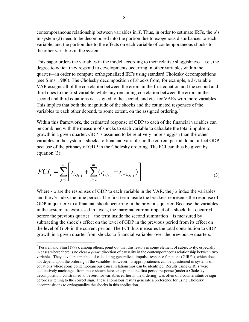contemporaneous relationship between variables in *X*. Thus, in order to estimate IRFs, the υ's in system (2) need to be decomposed into the portion due to exogenous disturbances to each variable, and the portion due to the effects on each variable of contemporaneous shocks to the other variables in the system.

This paper orders the variables in the model according to their relative sluggishness—i.e., the degree to which they respond to developments occurring in other variables within the quarter—in order to compute orthogonalized IRFs using standard Cholesky decompositions (see Sims, 1980). The Cholesky decomposition of shocks from, for example, a 3-variable VAR assigns all of the correlation between the errors in the first equation and the second and third ones to the first variable, while any remaining correlation between the errors in the second and third equations is assigned to the second, and etc. for VARs with more variables. This implies that both the magnitude of the shocks and the estimated responses of the variables to each other depend, to some extent, on the assigned ordering.<sup>[7](#page-9-0)</sup>

Within this framework, the estimated response of GDP to each of the financial variables can be combined with the measure of shocks to each variable to calculate the total impulse to growth in a given quarter. GDP is assumed to be relatively more sluggish than the other variables in the system—shocks to financial variables in the current period do not affect GDP because of the primacy of GDP in the Cholesky ordering. The FCI can thus be given by equation (3):

$$
FCI_t = \sum_{j=1}^n \left[ r_{t,j_{t-1}} + \sum_{i=2}^m (r_{t,j_{t-i}} - r_{t-1,j_{t-i}}) \right]
$$
(3)

Where *r's* are the responses of GDP to each variable in the VAR, the *j's* index the variables and the *i's* index the time period. The first term inside the brackets represents the response of GDP in quarter *t* to a financial shock occurring in the previous quarter. Because the variables in the system are expressed in levels, the marginal current impact of a shock that occurred before the previous quarter—the term inside the second summation—is measured by subtracting the shock's effect on the level of GDP in the previous period from its effect on the level of GDP in the current period. The FCI thus measures the total contribution to GDP growth in a given quarter from shocks to financial variables over the previous *m* quarters.

 $\overline{a}$ 

<span id="page-9-0"></span><sup>&</sup>lt;sup>7</sup> Pesaran and Shin (1998), among others, point out that this results in some element of subjectivity, especially in cases where there is no clear *a priori* direction of causality in the contemporaneous relationship between two variables. They develop a method of calculating generalized impulse-response functions (GIRFs), which does not depend upon the ordering of the variables. However, its appropriateness can be questioned in systems of equations where some contemporaneous causal relationships can be identified. Results using GIRFs were qualitatively unchanged from those shown here, except that the first period response (under a Cholesky decomposition, constrained to be zero for variables earlier in the ordering) was often of a counterintuitive sign before switching to the correct sign. These anomalous results generate a preference for using Cholesky decompositions to orthogonalize the shocks in this application.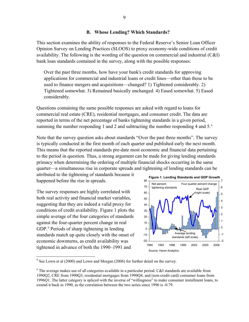#### **B. Whose Lending? Which Standards?**

This section examines the ability of responses to the Federal Reserve's Senior Loan Officer Opinion Survey on Lending Practices (SLOOS) to proxy economy-wide conditions of credit availability. The following is the wording of the question on commercial and industrial (C&I) bank loan standards contained in the survey, along with the possible responses:

Over the past three months, how have your bank's credit standards for approving applications for commercial and industrial loans or credit lines—other than those to be used to finance mergers and acquisitions—changed? 1) Tightened considerably. 2) Tightened somewhat. 3) Remained basically unchanged. 4) Eased somewhat. 5) Eased considerably.

Questions containing the same possible responses are asked with regard to loans for commercial real estate (CRE), residential mortgages, and consumer credit. The data are reported in terms of the net percentage of banks tightening standards in a given period, summing the number responding 1 and 2 and subtracting the number responding 4 and 5.<sup>[8](#page-10-0)</sup>

Note that the survey question asks about standards "Over the past three months". The survey is typically conducted in the first month of each quarter and published early the next month. This means that the reported standards pre-date most economic and financial data pertaining to the period in question. Thus, a strong argument can be made for giving lending standards primacy when determining the ordering of multiple financial shocks occurring in the same quarter—a simultaneous rise in corporate spreads and tightening of lending standards can be

attributed to the tightening of standards because it happened before the rise in spreads.

The survey responses are highly correlated with both real activity and financial market variables, suggesting that they are indeed a valid proxy for conditions of credit availability. Figure 1 plots the simple average of the four categories of standards against the four-quarter percent change in real GDP.<sup>[9](#page-10-1)</sup> Periods of sharp tightening in lending standards match up quite closely with the onset of economic downturns, as credit availability was tightened in advance of both the 1990–1991 and

 $\overline{a}$ 



<span id="page-10-0"></span> $8$  See Lown et al (2000) and Lown and Morgan (2006) for further detail on the survey.

<span id="page-10-1"></span><sup>&</sup>lt;sup>9</sup> The average makes use of all categories available in a particular period. C&I standards are available from 1990Q2, CRE from 1990Q3, residential mortgages from 1990Q4, and (non-credit card) consumer loans from 1996Q1. The latter category is spliced with the inverse of "willingness" to make consumer installment loans, to extend it back to 1990, as the correlation between the two series since 1996 is -0.79.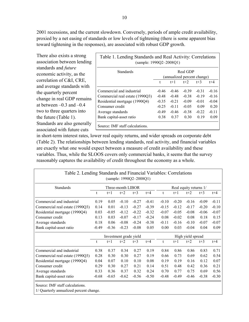2001 recessions, and the current slowdown. Conversely, periods of ample credit availability, proxied by a net easing of standards or low levels of tightening (there is some apparent bias toward tightening in the responses), are associated with robust GDP growth.

There also exists a strong association between lending standards and *future* economic activity, as the correlation of C&I, CRE, and average standards with the quarterly percent change in real GDP rem ains at between  $-0.3$  and  $-0.4$ two to three quarters into the future (Table 1). Standards are also generally associated with future cuts

| <b>Standards</b>                | Real GDP                    |         |         |         |         |  |
|---------------------------------|-----------------------------|---------|---------|---------|---------|--|
|                                 | (annualized percent change) |         |         |         |         |  |
|                                 | t                           | $t+1$   | $t + 2$ | $t + 3$ | $t + 4$ |  |
| Commercial and industrial       | $-0.46$                     | $-0.46$ | $-0.39$ | $-0.31$ | $-0.16$ |  |
| Commercial real estate (1990Q3) | $-0.48$                     | $-0.48$ | $-0.38$ | $-0.19$ | $-0.16$ |  |
| Residential mortgage (1990Q4)   | $-0.35$                     | $-0.21$ | $-0.09$ | $-0.01$ | $-0.04$ |  |
| Consumer credit                 | $-0.25$                     | $-0.11$ | $-0.05$ | 0.09    | 020     |  |
| Average standards               | $-0.49$                     | $-0.46$ | $-0.38$ | $-0.22$ | $-0.11$ |  |
| Bank capital-asset ratio        | 0.38                        | 0.37    | 0.30    | 0.19    | 0.09    |  |

in short-term interest rates, lower real equity returns, and wider spreads on corporate debt (Table 2). The relationships between lending standards, real activity, and financial variables are exactly what one would expect between a measure of credit availability and these variables. Thus, while the SLOOS covers only commercial banks, it seems that the survey reasonably captures the availability of credit throughout the economy as a whole.

| Table 2. Lending Standards and Financial Variables: Correlations<br>(sample: $1990Q2 - 2008Q1$ ) |                        |         |         |                        |         |         |         |         |         |         |
|--------------------------------------------------------------------------------------------------|------------------------|---------|---------|------------------------|---------|---------|---------|---------|---------|---------|
| Standards                                                                                        | Three-month LIBOR      |         |         | Real equity returns 1/ |         |         |         |         |         |         |
|                                                                                                  | t                      | $t+1$   | $t+2$   | $t+3$                  | $t + 4$ | t       | $t+1$   | $t+2$   | $t+3$   | $t + 4$ |
| Commercial and industrial                                                                        | 0.19                   | 0.05    | $-0.10$ | $-0.27$                | $-0.41$ | $-0.10$ | $-0.20$ | $-0.16$ | $-0.09$ | $-0.11$ |
| Commercial real estate (1990Q3)                                                                  | 0.14                   | 0.01    | $-0.13$ | $-0.27$                | $-0.39$ | $-0.15$ | $-0.12$ | $-0.17$ | $-0.20$ | $-0.10$ |
| Residential mortgage (1990Q4)                                                                    | 0.03                   | $-0.05$ | $-0.12$ | $-0.22$                | $-0.32$ | $-0.07$ | $-0.05$ | $-0.08$ | $-0.06$ | $-0.07$ |
| Consumer credit                                                                                  | 0.13                   | 0.03    | $-0.07$ | $-0.17$                | $-0.24$ | 0.08    | $-0.02$ | 0.08    | 0.18    | 0.15    |
| Average standards                                                                                | 0.18                   | 0.06    | $-0.08$ | $-0.24$                | $-0.38$ | $-0.11$ | $-0.16$ | $-0.10$ | $-0.07$ | $-0.07$ |
| Bank capital-asset ratio                                                                         | $-0.49$                | $-0.36$ | $-0.23$ | $-0.08$                | 0.05    | 0.00    | 0.03    | $-0.04$ | 0.04    | 0.09    |
|                                                                                                  | Investment grade yield |         |         | High yield spread      |         |         |         |         |         |         |
|                                                                                                  | t                      | $t+1$   | $t+2$   | $t+3$                  | $t + 4$ | t       | $t+1$   | $t+2$   | $t+3$   | $t + 4$ |
| Commercial and industrial                                                                        | 0.38                   | 0.37    | 0.34    | 0.27                   | 0.19    | 0.84    | 0.86    | 0.86    | 0.83    | 0.71    |
| Commercial real estate (1990Q3)                                                                  | 0.28                   | 0.30    | 0.30    | 0.27                   | 0.19    | 0.66    | 0.73    | 0.69    | 0.62    | 0.54    |
| Residential mortgage (1990Q4)                                                                    | 0.04                   | 0.07    | 0.10    | 0.10                   | 0.08    | 0.19    | 0.19    | 0.16    | 0.12    | 0.07    |
| Consumer credit                                                                                  | 0.29                   | 0.30    | 0.27    | 0.21                   | 0.14    | 0.51    | 0.48    | 0.42    | 0.36    | 0.21    |
| Average standards                                                                                | 0.33                   | 0.36    | 0.37    | 0.32                   | 0.24    | 0.70    | 0.77    | 0.75    | 0.69    | 0.56    |
| Bank capital-asset ratio                                                                         | $-0.68$                | $-0.65$ | $-0.62$ | $-0.56$                | $-0.50$ | $-0.48$ | $-0.49$ | $-0.46$ | $-0.38$ | $-0.30$ |
| Source: IMF staff calculations.<br>1/ Quarterly annualized percent change.                       |                        |         |         |                        |         |         |         |         |         |         |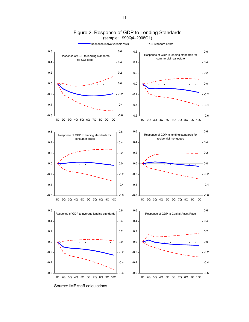

Figure 2. Response of GDP to Lending Standards (sample: 1990Q4–2008Q1)

Source: IMF staff calculations.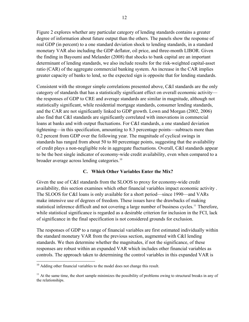Figure 2 explores whether any particular category of lending standards contains a greater degree of information about future output than the others. The panels show the response of real GDP (in percent) to a one standard deviation shock to lending standards, in a standard monetary VAR also including the GDP deflator, oil price, and three-month LIBOR. Given the finding in Bayoumi and Melander (2008) that shocks to bank capital are an important determinant of lending standards, we also include results for the risk-weighted capital-asset ratio (CAR) of the aggregate commercial banking system. An increase in the CAR implies greater capacity of banks to lend, so the expected sign is opposite that for lending standards.

Consistent with the stronger simple correlations presented above, C&I standards are the only category of standards that has a statistically significant effect on overall economic activity the responses of GDP to CRE and average standards are similar in magnitude, although not statistically significant, while residential mortgage standards, consumer lending standards, and the CAR are not significantly linked to GDP growth. Lown and Morgan (2002, 2006) also find that C&I standards are significantly correlated with innovations in commercial loans at banks and with output fluctuations. For C&I standards, a one standard deviation tightening—in this specification, amounting to 8.3 percentage points—subtracts more than 0.2 percent from GDP over the following year. The magnitude of cyclical swings in standards has ranged from about 50 to 80 percentage points, suggesting that the availability of credit plays a non-negligible role in aggregate fluctuations. Overall, C&I standards appear to be the best single indicator of economy-wide credit availability, even when compared to a broader average across lending categories.<sup>[10](#page-13-0)</sup>

## **C. Which Other Variables Enter the Mix?**

Given the use of C&I standards from the SLOOS to proxy for economy-wide credit availability, this section examines which other financial variables impact economic activity . The SLOOS for C&I loans is only available for a short period—since 1990—and VARs make intensive use of degrees of freedom. These issues have the drawbacks of making statistical inference difficult and not covering a large number of business cycles.<sup>[11](#page-13-1)</sup> Therefore, while statistical significance is regarded as a desirable criterion for inclusion in the FCI, lack of significance in the final specification is not considered grounds for exclusion.

The responses of GDP to a range of financial variables are first estimated individually within the standard monetary VAR from the previous section, augmented with C&I lending standards. We then determine whether the magnitudes, if not the significance, of these responses are robust within an expanded VAR which includes other financial variables as controls. The approach taken to determining the control variables in this expanded VAR is

<u>.</u>

<span id="page-13-0"></span><sup>&</sup>lt;sup>10</sup> Adding other financial variables to the model does not change this result.

<span id="page-13-1"></span> $11$  At the same time, the short sample minimizes the possibility of problems owing to structural breaks in any of the relationships.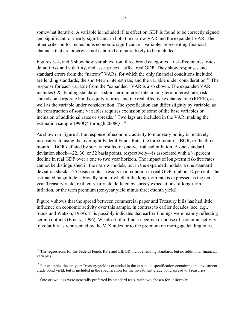somewhat iterative. A variable is included if its effect on GDP is found to be correctly signed and significant, or nearly-significant, in both the narrow VAR and the expanded VAR. The other criterion for inclusion is economic significance—variables representing financial channels that are otherwise not captured are more likely to be included.

Figures 3, 4, and 5 show how variables from three broad categories—risk-free interest rates, default risk and volatility, and asset prices—affect real GDP. They show responses and standard errors from the "narrow" VARs, for which the only financial conditions included are lending standards, the short-term interest rate, and the variable under consideration.<sup>[12](#page-14-0)</sup> The response for each variable from the "expanded" VAR is also shown. The expanded VAR includes C&I lending standards, a short-term interest rate, a long-term interest rate, risk spreads on corporate bonds, equity returns, and the real effective exchange rate (REER), as well as the variable under consideration. The specification can differ slightly by variable, as the construction of some variables requires exclusion of some of the base variables or inclusion of additional rates or spreads.<sup>[13](#page-14-1)</sup> Two lags are included in the VAR, making the estimation sample 1990Q4 through 2008Q1.<sup>[14](#page-14-2)</sup>

As shown in Figure 3, the response of economic activity to monetary policy is relatively insensitive to using the overnight Federal Funds Rate, the three-month LIBOR, or the threemonth LIBOR deflated by survey results for one-year-ahead inflation. A one standard deviation shock—22, 30, or 32 basis points, respectively—is associated with a  $\frac{1}{4}$  percent decline in real GDP over a one to two year horizon. The impact of long-term risk-free rates cannot be distinguished in the narrow models, but in the expanded models, a one standard deviation shock—25 basis points—results in a reduction in real GDP of about ¼ percent. The estimated magnitude is broadly similar whether the long-term rate is expressed as the tenyear Treasury yield, real ten-year yield deflated by survey expectations of long-term inflation, or the term premium (ten-year yield minus three-month yield).

Figure 4 shows that the spread between commercial paper and Treasury bills has had little influence on economic activity over this sample, in contrast to earlier decades (see, e.g., Stock and Watson, 1989). This possibly indicates that earlier findings were mainly reflecting certain outliers (Emery, 1996). We also fail to find a negative response of economic activity to volatility as represented by the VIX index or to the premium on mortgage lending rates.

<span id="page-14-0"></span> $\overline{a}$ <sup>12</sup> The regressions for the Federal Funds Rate and LIBOR include lending standards but no additional financial variables.

<span id="page-14-1"></span> $<sup>13</sup>$  For example, the ten year Treasury yield is excluded in the expanded specification containing the investment</sup> grade bond yield, but is included in the specification for the investment grade bond spread to Treasuries.

<span id="page-14-2"></span><sup>&</sup>lt;sup>14</sup> One or two lags were generally preferred by standard tests, with two chosen for uniformity.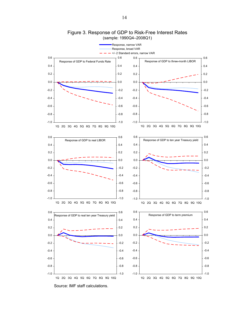

Figure 3. Response of GDP to Risk-Free Interest Rates (sample: 1990Q4–2008Q1)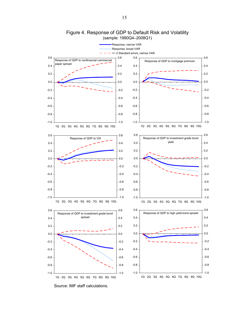

## Figure 4. Response of GDP to Default Risk and Volatility (sample: 1990Q4–2008Q1)

Source: IMF staff calculations.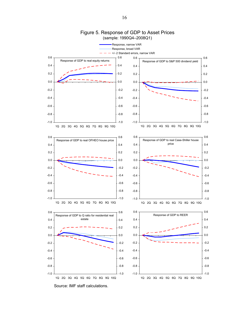

## Figure 5. Response of GDP to Asset Prices (sample: 1990Q4–2008Q1)

16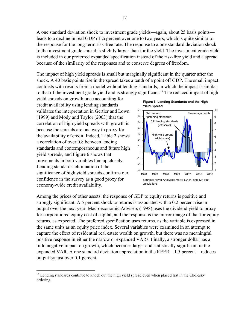A one standard deviation shock to investment grade yields—again, about 25 basis points leads to a decline in real GDP of ¼ percent over one to two years, which is quite similar to the response for the long-term risk-free rate. The response to a one standard deviation shock to the investment grade spread is slightly larger than for the yield. The investment grade yield is included in our preferred expanded specification instead of the risk-free yield and a spread because of the similarity of the responses and to conserve degrees of freedom.

The impact of high yield spreads is small but marginally significant in the quarter after the shock. A 40 basis points rise in the spread takes a tenth of a point off GDP. The small impact contrasts with results from a model without lending standards, in which the impact is similar to that of the investment grade yield and is strongly significant.<sup>[15](#page-18-0)</sup> The reduced impact of high

yield spreads on growth once accounting for credit availability using lending standards validates the interpretation in Gertler and Lown (1999) and Mody and Taylor (2003) that the correlation of high yield spreads with growth is because the spreads are one way to proxy for the availability of credit. Indeed, Table 2 show s a correlation of over 0.8 between lending standards and contemporaneous and future high yield spreads, and Figure 6 shows that movements in both variables line up closely. Lending standards' elimination of the significance of high yield spreads confirms our confidence in the survey as a good proxy for economy-wide credit availability.

1



Among the prices of other assets, the response of GDP to equity returns is positive and strongly significant. A 5 percent shock to returns is associated with a 0.2 percent rise in output over the next year. Macroeconomic Advisers (1998) uses the dividend yield to proxy for corporations' equity cost of capital, and the response is the mirror image of that for equity returns, as expected. The preferred specification uses returns, as the variable is expressed in the same units as an equity price index. Several variables were examined in an attempt to capture the effect of residential real estate wealth on growth, but there was no meaningful positive response in either the narrow or expanded VARs. Finally, a stronger dollar has a mild negative impact on growth, which becomes larger and statistically significant in the expanded VAR. A one standard deviation appreciation in the REER—1.5 percent—reduces output by just over 0.1 percent.

<span id="page-18-0"></span><sup>&</sup>lt;sup>15</sup> Lending standards continue to knock out the high yield spread even when placed last in the Cholesky ordering.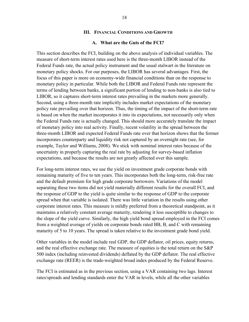#### **III. FINANCIAL CONDITIONS AND GROWTH**

#### **A. What are the Guts of the FCI?**

This section describes the FCI, building on the above analysis of individual variables. The measure of short-term interest rates used here is the three-month LIBOR instead of the Federal Funds rate, the actual policy instrument and the usual stalwart in the literature on monetary policy shocks. For our purposes, the LIBOR has several advantages. First, the focus of this paper is more on economy-wide financial conditions than on the response to monetary policy in particular. While both the LIBOR and Federal Funds rate represent the terms of lending between banks, a significant portion of lending to non-banks is also tied to LIBOR, so it captures short-term interest rates prevailing in the markets more generally. Second, using a three-month rate implicitly includes market expectations of the monetary policy rate prevailing over that horizon. Thus, the timing of the impact of the short-term rate is based on when the market incorporates it into its expectations, not necessarily only when the Federal Funds rate is actually changed. This should more accurately translate the impact of monetary policy into real activity. Finally, recent volatility in the spread between the three-month LIBOR and expected Federal Funds rate over that horizon shows that the former incorporates counterparty and liquidity risk not captured by an overnight rate (see, for example, Taylor and Williams, 2008). We stick with nominal interest rates because of the uncertainty in properly capturing the real rate by adjusting for survey-based inflation expectations, and because the results are not greatly affected over this sample.

For long-term interest rates, we use the yield on investment grade corporate bonds with remaining maturity of five to ten years. This incorporates both the long-term, risk-free rate and the default premium for high grade corporate borrowers. Variations of the model separating these two items did not yield materially different results for the overall FCI, and the response of GDP to the yield is quite similar to the response of GDP to the corporate spread when that variable is isolated. There was little variation in the results using other corporate interest rates. This measure is mildly preferred from a theoretical standpoint, as it maintains a relatively constant average maturity, rendering it less susceptible to changes to the slope of the yield curve. Similarly, the high yield bond spread employed in the FCI comes from a weighted average of yields on corporate bonds rated BB, B, and C with remaining maturity of 5 to 10 years. The spread is taken relative to the investment grade bond yield.

Other variables in the model include real GDP, the GDP deflator, oil prices, equity returns, and the real effective exchange rate. The measure of equities is the total return on the S&P 500 index (including reinvested dividends) deflated by the GDP deflator. The real effective exchange rate (REER) is the trade-weighted broad index produced by the Federal Reserve.

The FCI is estimated as in the previous section, using a VAR containing two lags. Interest rates/spreads and lending standards enter the VAR in levels, while all the other variables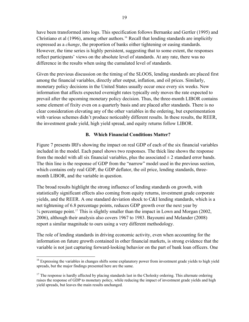have been transformed into logs. This specification follows Bernanke and Gertler (1995) and Christiano et al  $(1996)$ , among other authors.<sup>16</sup> Recall that lending standards are implicitly expressed as a *change*, the proportion of banks either tightening or easing standards. However, the time series is highly persistent, suggesting that to some extent, the responses reflect participants' views on the absolute level of standards. At any rate, there was no difference in the results when using the cumulated level of standards.

Given the previous discussion on the timing of the SLOOS, lending standards are placed first among the financial variables, directly after output, inflation, and oil prices. Similarly, monetary policy decisions in the United States usually occur once every six weeks. New information that affects expected overnight rates typically only moves the rate expected to prevail after the upcoming monetary policy decision. Thus, the three-month LIBOR contains some element of fixity even on a quarterly basis and are placed after standards. There is no clear consideration elevating any of the other variables in the ordering, but experimentation with various schemes didn't produce noticeably different results. In these results, the REER, the investment grade yield, high yield spread, and equity returns follow LIBOR.

## **B. Which Financial Conditions Matter?**

Figure 7 presents IRFs showing the impact on real GDP of each of the six financial variables included in the model. Each panel shows two responses. The thick line shows the response from the model with all six financial variables, plus the associated  $\pm 2$  standard error bands. The thin line is the response of GDP from the "narrow" model used in the previous section, which contains only real GDP, the GDP deflator, the oil price, lending standards, threemonth LIBOR, and the variable in question.

The broad results highlight the strong influence of lending standards on growth, with statistically significant effects also coming from equity returns, investment grade corporate yields, and the REER. A one standard deviation shock to C&I lending standards, which is a net tightening of 6.8 percentage points, reduces GDP growth over the next year by  $\frac{1}{4}$  percentage point.<sup>[17](#page-20-1)</sup> This is slightly smaller than the impact in Lown and Morgan (2002, 2006), although their analysis also covers 1967 to 1983. Bayoumi and Melander (2008) report a similar magnitude to ours using a very different methodology.

The role of lending standards in driving economic activity, even when accounting for the information on future growth contained in other financial markets, is strong evidence that the variable is not just capturing forward-looking behavior on the part of bank loan officers. One

<span id="page-20-0"></span> $\overline{a}$ <sup>16</sup> Expressing the variables in changes shifts some explanatory power from investment grade yields to high yield spreads, but the major findings presented here are the same.

<span id="page-20-1"></span><sup>&</sup>lt;sup>17</sup> The response is hardly affected by placing standards last in the Cholesky ordering. This alternate ordering raises the response of GDP to monetary policy, while reducing the impact of investment grade yields and high yield spreads, but leaves the main results unchanged.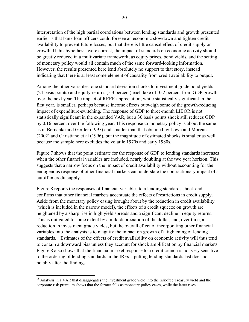interpretation of the high partial correlations between lending standards and growth presented earlier is that bank loan officers could foresee an economic slowdown and tighten credit availability to prevent future losses, but that there is little causal effect of credit supply on growth. If this hypothesis were correct, the impact of standards on economic activity should be greatly reduced in a multivariate framework, as equity prices, bond yields, and the setting of monetary policy would all contain much of the same forward-looking information. However, the results presented here lend absolutely no support to that story, instead indicating that there is at least some element of causality from credit availability to output.

Among the other variables, one standard deviation shocks to investment grade bond yields (24 basis points) and equity returns (5.3 percent) each take off 0.2 percent from GDP growth over the next year. The impact of REER appreciation, while statistically significant in the first year, is smaller, perhaps because income effects outweigh some of the growth-reducing impact of expenditure-switching. The response of GDP to three-month LIBOR is not statistically significant in the expanded VAR, but a 30 basis points shock still reduces GDP by 0.16 percent over the following year. This response to monetary policy is about the same as in Bernanke and Gertler (1995) and smaller than that obtained by Lown and Morgan (2002) and Christiano et al (1996), but the magnitude of estimated shocks is smaller as well, because the sample here excludes the volatile 1970s and early 1980s.

Figure 7 shows that the point estimate for the response of GDP to lending standards increases when the other financial variables are included, nearly doubling at the two year horizon. This suggests that a narrow focus on the impact of credit availability without accounting for the endogenous response of other financial markets can understate the contractionary impact of a cutoff in credit supply.

Figure 8 reports the responses of financial variables to a lending standards shock and confirms that other financial markets accentuate the effects of restrictions in credit supply. Aside from the monetary policy easing brought about by the reduction in credit availability (which is included in the narrow model), the effects of a credit squeeze on growth are heightened by a sharp rise in high yield spreads and a significant decline in equity returns. This is mitigated to some extent by a mild depreciation of the dollar, and, over time, a reduction in investment grade yields, but the overall effect of incorporating other financial variables into the analysis is to magnify the impact on growth of a tightening of lending standards.<sup>[18](#page-21-0)</sup> Estimates of the effects of credit availability on economic activity will thus tend to contain a downward bias unless they account for shock amplification by financial markets. Figure 8 also shows that the financial market response to a credit crunch is not very sensitive to the ordering of lending standards in the IRFs—putting lending standards last does not notably alter the findings.

1

<span id="page-21-0"></span><sup>&</sup>lt;sup>18</sup> Analysis in a VAR that disaggregates the investment grade yield into the risk-free Treasury yield and the corporate risk premium shows that the former falls as monetary policy eases, while the latter rises.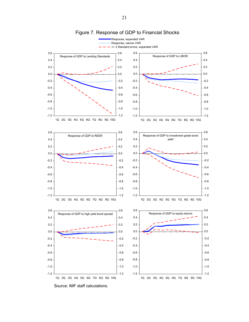

### Figure 7. Response of GDP to Financial Shocks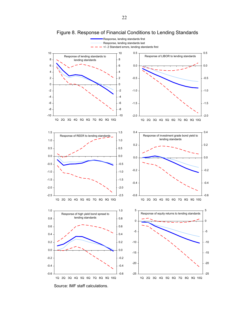

Figure 8. Response of Financial Conditions to Lending Standards

Source: IMF staff calculations.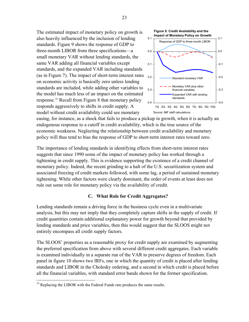The estimated impact of monetary policy on growth is also heavily influenced by the inclusion of lending standards. Figure 9 shows the response of GDP to three-month LIBOR from three specifications—a small monetary VAR without lending standards, the same VAR adding all financial variables except standards, and the expanded VAR including standards (as in Figure 7). The impact of short-term interest rates on economic activity is basically zero unless lending standards are included, while adding other variables to the model has much less of an impact on the estimated response[.19](#page-24-0) Recall from Figure 8 that monetary policy responds aggressively to shifts in credit supply. A model without credit availability could see monetary



easing, for instance, as a shock that fails to produce a pickup in growth, when it is actually an endogenous response to a cutoff in credit availability, which is the true source of the economic weakness. Neglecting the relationship between credit availability and monetary policy will thus tend to bias the response of GDP to short-term interest rates toward zero.

The importance of lending standards in identifying effects from short-term interest rates suggests that since 1990 some of the impact of monetary policy has worked through a tightening in credit supply. This is evidence supporting the existence of a credit channel of monetary policy. Indeed, the recent grinding to a halt of the U.S. securitization system and associated freezing of credit markets followed, with some lag, a period of sustained monetary tightening. While other factors were clearly dominant, the order of events at least does not rule out some role for monetary policy via the availability of credit.

## **C. What Role for Credit Aggregates?**

Lending standards remain a driving force in the business cycle even in a multivariate analysis, but this may not imply that they completely capture shifts in the supply of credit. If credit quantities contain additional explanatory power for growth beyond that provided by lending standards and price variables, then this would suggest that the SLOOS might not entirely encompass all credit supply factors.

The SLOOS' properties as a reasonable proxy for credit supply are examined by augmenting the preferred specification from above with several different credit aggregates. Each variable is examined individually in a separate run of the VAR to preserve degrees of freedom. Each panel in figure 10 shows two IRFs, one in which the quantity of credit is placed after lending standards and LIBOR in the Cholesky ordering, and a second in which credit is placed before all the financial variables, with standard error bands shown for the former specification.

<span id="page-24-0"></span> $\overline{a}$  $19$  Replacing the LIBOR with the Federal Funds rate produces the same results.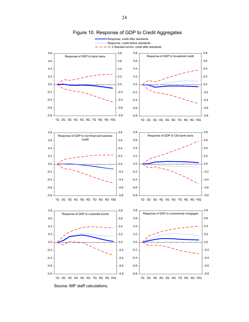

Figure 10. Response of GDP to Credit Aggregates

24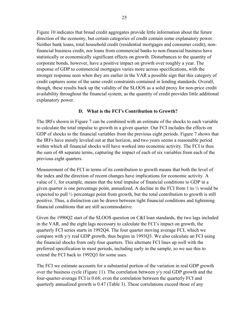Figure 10 indicates that broad credit aggregates provide little information about the future direction of the economy, but certain categories of credit contain some explanatory power. Neither bank loans, total household credit (residential mortgages and consumer credit), nonfinancial business credit, nor loans from commercial banks to non-financial business have statistically or economically significant effects on growth. Disturbances to the quantity of corporate bonds, however, have a positive impact on growth over roughly a year. The response of GDP to commercial mortgages varies more across specifications, with the stronger response seen when they are earlier in the VAR a possible sign that this category of credit captures some of the same credit constraints contained in lending standards. Overall, though, these results back up the validity of the SLOOS as a solid proxy for non-price credit availability throughout the financial system, as the quantity of credit provides little additional explanatory power.

### **D. What is the FCI's Contribution to Growth?**

The IRFs shown in Figure 7 can be combined with an estimate of the shocks to each variable to calculate the total impulse to growth in a given quarter. Our FCI includes the effects on GDP of shocks to the financial variables from the previous eight periods. Figure 7 shows that the IRFs have mostly leveled out at that horizon, and two years seems a reasonable period within which all financial shocks will have worked into economic activity. The FCI is thus the sum of 48 separate terms, capturing the impact of each of six variables from each of the previous eight quarters.

Measurement of the FCI in terms of its contribution to growth means that both the level of the index and the direction of recent changes have implications for economic activity. A value of 1, for example, means that the total impulse of financial conditions to GDP in a given quarter is one percentage point, annualized. A decline in the FCI from 1 to ½ would be expected to pull ½ percentage point from growth, but the total contribution to growth is still positive. Thus, a distinction can be drawn between tight financial conditions and tightening financial conditions that are still accommodative.

Given the 1990Q2 start of the SLOOS question on C&I loan standards, the two lags included in the VAR, and the eight lags necessary to calculate the FCI's impact on growth, the quarterly FCI series starts in 1992Q4. The four quarter moving average FCI, which we compare with y/y real GDP growth, thus begins in 1993Q3. We also calculate an FCI using the financial shocks from only four quarters. This alternate FCI lines up well with the preferred specification in most periods, including early in the sample, so we use this to extend the FCI back to 1992Q3 for some uses.

The FCI we estimate accounts for a substantial portion of the variation in real GDP growth over the business cycle (Figure 11). The correlation between y/y real GDP growth and the four-quarter-average FCI is 0.68; even the correlation between the quarterly FCI and quarterly annualized growth is 0.47 (Table 3). These correlations exceed those of any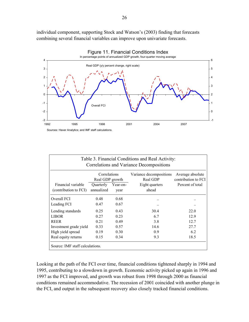individual component, supporting Stock and Watson's (2003) finding that forecasts combining several financial variables can improve upon univariate forecasts.



| Table 3. Financial Conditions and Real Activity:<br>Correlations and Variance Decompositions |                                 |                  |                                     |                                                             |  |  |  |  |  |
|----------------------------------------------------------------------------------------------|---------------------------------|------------------|-------------------------------------|-------------------------------------------------------------|--|--|--|--|--|
|                                                                                              | Correlations<br>Real GDP growth |                  | Variance decompositions<br>Real GDP | Average absolute<br>contribution to FCI<br>Percent of total |  |  |  |  |  |
| Financial variable<br>(contribution to FCI)                                                  | Quarterly<br>annualized         | Year-on-<br>year | Eight quarters<br>ahead             |                                                             |  |  |  |  |  |
| Overall FCI                                                                                  | 0.48                            | 0.68             |                                     |                                                             |  |  |  |  |  |
| Leading FCI                                                                                  | 0.47                            | 0.67             | $\ddotsc$                           |                                                             |  |  |  |  |  |
| Lending standards                                                                            | 0.25                            | 0.43             | 30.4                                | 22.0                                                        |  |  |  |  |  |
| <b>LIBOR</b>                                                                                 | 0.27                            | 0.23             | 6.7                                 | 12.9                                                        |  |  |  |  |  |
| <b>REER</b>                                                                                  | 0.21                            | 0.49             | 3.8                                 | 12.7                                                        |  |  |  |  |  |
| Investment grade yield                                                                       | 0.33                            | 0.57             | 14.6                                | 27.7                                                        |  |  |  |  |  |
| High yield spread                                                                            | 0.19                            | 0.30             | 0.9                                 | 6.2                                                         |  |  |  |  |  |
| Real equity returns                                                                          | 0.15                            | 0.34             | 9.3                                 | 18.5                                                        |  |  |  |  |  |
| Source: IMF staff calculations.                                                              |                                 |                  |                                     |                                                             |  |  |  |  |  |

Looking at the path of the FCI over time, financial conditions tightened sharply in 1994 and 1995, contributing to a slowdown in growth. Economic activity picked up again in 1996 and 1997 as the FCI improved, and growth was robust from 1998 through 2000 as financial conditions remained accommodative. The recession of 2001 coincided with another plunge in the FCI, and output in the subsequent recovery also closely tracked financial conditions.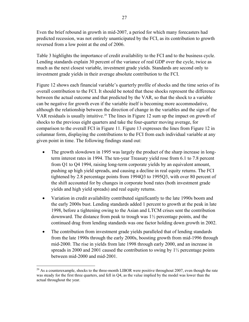Even the brief rebound in growth in mid-2007, a period for which many forecasters had predicted recession, was not entirely unanticipated by the FCI, as its contribution to growth reversed from a low point at the end of 2006.

Table 3 highlights the importance of credit availability to the FCI and to the business cycle. Lending standards explain 30 percent of the variance of real GDP over the cycle, twice as much as the next closest variable, investment grade yields. Standards are second only to investment grade yields in their average absolute contribution to the FCI.

Figure 12 shows each financial variable's quarterly profile of shocks and the time series of its overall contribution to the FCI. It should be noted that these shocks represent the difference between the actual outcome and that predicted by the VAR, so that the shock to a variable can be negative for growth even if the variable itself is becoming more accommodative, although the relationship between the direction of change in the variables and the sign of the VAR residuals is usually intuitive.<sup>[20](#page-28-0)</sup> The lines in Figure 12 sum up the impact on growth of shocks to the previous eight quarters and take the four-quarter moving average, for comparison to the overall FCI in Figure 11. Figure 13 expresses the lines from Figure 12 in columnar form, displaying the contributions to the FCI from each individual variable at any given point in time. The following findings stand out:

- The growth slowdown in 1995 was largely the product of the sharp increase in longterm interest rates in 1994. The ten-year Treasury yield rose from 6.1 to 7.8 percent from Q1 to Q4 1994, raising long-term corporate yields by an equivalent amount, pushing up high yield spreads, and causing a decline in real equity returns. The FCI tightened by 2.8 percentage points from 1994Q3 to 1995Q3, with over 80 percent of the shift accounted for by changes in corporate bond rates (both investment grade yields and high yield spreads) and real equity returns.
- Variation in credit availability contributed significantly to the late 1990s boom and the early 2000s bust. Lending standards added 1 percent to growth at the peak in late 1998, before a tightening owing to the Asian and LTCM crises sent the contribution downward. The distance from peak to trough was 1½ percentage points, and the continued drag from lending standards was one factor holding down growth in 2002.
- The contribution from investment grade yields paralleled that of lending standards from the late 1990s through the early 2000s, boosting growth from mid-1996 through mid-2000. The rise in yields from late 1998 through early 2000, and an increase in spreads in 2000 and 2001 caused the contribution to swing by  $1\frac{1}{2}$  percentage points between mid-2000 and mid-2001.

 $\overline{a}$ 

<span id="page-28-0"></span><sup>&</sup>lt;sup>20</sup> As a counterexample, shocks to the three-month LIBOR were positive throughout 2007, even though the rate was steady for the first three quarters, and fell in Q4, as the value implied by the model was lower than the actual throughout the year.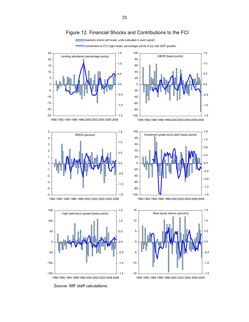

-1.5

-1.5

-1.0

-0.5

0.0

0.5

1.0

1.5

-1.6 -1.2 -0.8

-0.4 0.0 0.4 0.8 1.2 1.6

 $-1.0$ 

-0.5

0.0

0.5

1.0

1.5

Quarterly shock (left scale; units indicated in each panel)

Source: IMF staff calculations.

-1



Figure 12. Financial Shocks and Contributions to the FCI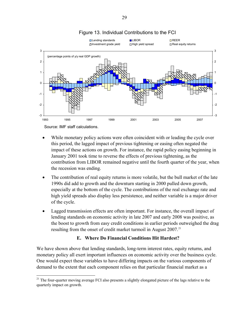

## Figure 13. Individual Contributions to the FCI

Source: IMF staff calculations.

- While monetary policy actions were often coincident with or leading the cycle over this period, the lagged impact of previous tightening or easing often negated the impact of these actions on growth. For instance, the rapid policy easing beginning in January 2001 took time to reverse the effects of previous tightening, as the contribution from LIBOR remained negative until the fourth quarter of the year, when the recession was ending.
- The contribution of real equity returns is more volatile, but the bull market of the late 1990s did add to growth and the downturn starting in 2000 pulled down growth, especially at the bottom of the cycle. The contributions of the real exchange rate and high yield spreads also display less persistence, and neither variable is a major driver of the cycle.
- Lagged transmission effects are often important. For instance, the overall impact of lending standards on economic activity in late 2007 and early 2008 was positive, as the boost to growth from easy credit conditions in earlier periods outweighed the drag resulting from the onset of credit market turmoil in August  $2007$ .<sup>[21](#page-30-0)</sup>

## **E. Where Do Financial Conditions Hit Hardest?**

We have shown above that lending standards, long-term interest rates, equity returns, and monetary policy all exert important influences on economic activity over the business cycle. One would expect these variables to have differing impacts on the various components of demand to the extent that each component relies on that particular financial market as a

<span id="page-30-0"></span> $\overline{a}$ <sup>21</sup> The four-quarter moving average FCI also presents a slightly elongated picture of the lags relative to the quarterly impact on growth.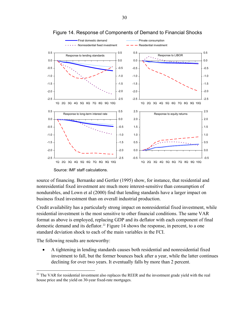



Source: IMF staff calculations.

source of financing. Bernanke and Gertler (1995) show, for instance, that residential and nonresidential fixed investment are much more interest-sensitive than consumption of nondurables, and Lown et al (2000) find that lending standards have a larger impact on business fixed investment than on overall industrial production.

Credit availability has a particularly strong impact on nonresidential fixed investment, while residential investment is the most sensitive to other financial conditions. The same VAR format as above is employed, replacing GDP and its deflator with each component of final domestic demand and its deflator.<sup>[22](#page-31-0)</sup> Figure 14 shows the response, in percent, to a one standard deviation shock to each of the main variables in the FCI.

The following results are noteworthy:

 $\overline{a}$ 

• A tightening in lending standards causes both residential and nonresidential fixed investment to fall, but the former bounces back after a year, while the latter continues declining for over two years. It eventually falls by more than 2 percent.

<span id="page-31-0"></span> $22$  The VAR for residential investment also replaces the REER and the investment grade yield with the real house price and the yield on 30-year fixed-rate mortgages.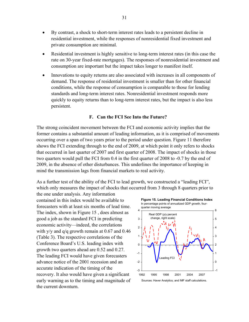- By contrast, a shock to short-term interest rates leads to a persistent decline in residential investment, while the responses of nonresidential fixed investment and private consumption are minimal.
- Residential investment is highly sensitive to long-term interest rates (in this case the rate on 30-year fixed-rate mortgages). The responses of nonresidential investment and consumption are important but the impact takes longer to manifest itself.
- Innovations to equity returns are also associated with increases in all components of demand. The response of residential investment is smaller than for other financial conditions, while the response of consumption is comparable to those for lending standards and long-term interest rates. Nonresidential investment responds more quickly to equity returns than to long-term interest rates, but the impact is also less persistent.

#### **F. Can the FCI See Into the Future?**

The strong coincident movement between the FCI and economic activity implies that the former contains a substantial amount of leading information, as it is comprised of movements occurring over a span of two years prior to the period under question. Figure 11 therefore shows the FCI extending through to the end of 2009, at which point it only refers to shocks that occurred in last quarter of 2007 and first quarter of 2008. The impact of shocks in those two quarters would pull the FCI from 0.4 in the first quarter of 2008 to -0.7 by the end of 2009, in the absence of other disturbances. This underlines the importance of keeping in mind the transmission lags from financial markets to real activity.

As a further test of the ability of the FCI to lead growth, we constructed a "leading FCI", which only measures the impact of shocks that occurred from 3 through 8 quarters prior to

the one under analysis. Any information contained in this index would be available to forecasters with at least six months of lead time. The index, shown in Figure 15 , does almost as good a job as the standard FCI in predicting economic activity—indeed, the correlations with y/y and q/q growth remain at 0.67 and 0.46 (Table 3). The respective correlations of the Conference Board's U.S. leading index with growth two quarters ahead are 0.52 and 0.27. The leading FCI would have given forecaster s advance notice of the 2001 recession an d an accurate indication of the timing of the recovery. It also would have given a significant early warning as to the timing and magnitude of the current downturn.

**Figure 15. Leading Financial Conditions Index** In percentage points of annualized GDP growth, four-

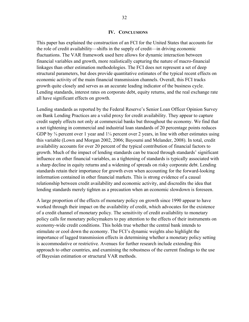#### **IV. CONCLUSIONS**

This paper has explained the construction of an FCI for the United States that accounts for the role of credit availability—shifts in the supply of credit—in driving economic fluctuations. The VAR framework used here allows for dynamic interaction between financial variables and growth, more realistically capturing the nature of macro-financial linkages than other estimation methodologies. The FCI does not represent a set of deep structural parameters, but does provide quantitative estimates of the typical recent effects on economic activity of the main financial transmission channels. Overall, this FCI tracks growth quite closely and serves as an accurate leading indicator of the business cycle. Lending standards, interest rates on corporate debt, equity returns, and the real exchange rate all have significant effects on growth.

Lending standards as reported by the Federal Reserve's Senior Loan Officer Opinion Survey on Bank Lending Practices are a valid proxy for credit availability. They appear to capture credit supply effects not only at commercial banks but throughout the economy. We find that a net tightening in commercial and industrial loan standards of 20 percentage points reduces GDP by  $\frac{3}{4}$  percent over 1 year and  $1\frac{1}{4}$  percent over 2 years, in line with other estimates using this variable (Lown and Morgan 2002, 2006; Bayoumi and Melander, 2008). In total, credit availability accounts for over 20 percent of the typical contribution of financial factors to growth. Much of the impact of lending standards can be traced through standards' significant influence on other financial variables, as a tightening of standards is typically associated with a sharp decline in equity returns and a widening of spreads on risky corporate debt. Lending standards retain their importance for growth even when accounting for the forward-looking information contained in other financial markets. This is strong evidence of a causal relationship between credit availability and economic activity, and discredits the idea that lending standards merely tighten as a precaution when an economic slowdown is foreseen.

A large proportion of the effects of monetary policy on growth since 1990 appear to have worked through their impact on the availability of credit, which advocates for the existence of a credit channel of monetary policy. The sensitivity of credit availability to monetary policy calls for monetary policymakers to pay attention to the effects of their instruments on economy-wide credit conditions. This holds true whether the central bank intends to stimulate or cool down the economy. The FCI's dynamic weights also highlight the importance of lagged transmission effects in determining whether a monetary policy setting is accommodative or restrictive. Avenues for further research include extending this approach to other countries, and examining the robustness of the current findings to the use of Bayesian estimation or structural VAR methods.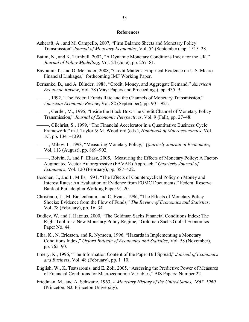#### **References**

- Ashcraft, A., and M. Campello, 2007, "Firm Balance Sheets and Monetary Policy Transmission" *Journal of Monetary Economics*, Vol. 54 (September), pp. 1515–28.
- Batini, N., and K. Turnbull, 2002, "A Dynamic Monetary Conditions Index for the UK," *Journal of Policy Modelling*, Vol. 24 (June), pp. 257–81.
- Bayoumi, T., and O. Melander, 2008, "Credit Matters: Empirical Evidence on U.S. Macro-Financial Linkages," forthcoming IMF Working Paper.
- Bernanke, B., and A. Blinder, 1988, "Credit, Money, and Aggregate Demand," *American Economic Review*, Vol. 78 (May: Papers and Proceedings), pp. 435–9.
- –––––, 1992, "The Federal Funds Rate and the Channels of Monetary Transmission," *American Economic Review*, Vol. 82 (September), pp. 901–921.
- –––––, Gertler, M., 1995, "Inside the Black Box: The Credit Channel of Monetary Policy Transmission," *Journal of Economic Perspectives*, Vol. 9 (Fall), pp. 27–48.
- –––––, Gilchrist, S., 1999, "The Financial Accelerator in a Quantitative Business Cycle Framework," in J. Taylor & M. Woodford (eds.), *Handbook of Macroeconomics*, Vol. 1C, pp. 1341–1393.
- –––––, Mihov, I., 1998, "Measuring Monetary Policy," *Quarterly Journal of Economics*, Vol. 113 (August), pp. 869–902.
- –––––, Boivin, J., and P. Eliasz, 2005, "Measuring the Effects of Monetary Policy: A Factor-Augmented Vector Autoregressive (FAVAR) Approach," *Quarterly Journal of Economics*, Vol. 120 (February), pp. 387–422.
- Boschen, J., and L. Mills, 1991, "The Effects of Countercyclical Policy on Money and Interest Rates: An Evaluation of Evidence from FOMC Documents," Federal Reserve Bank of Philadelphia Working Paper 91-20.
- Christiano, L., M. Eichenbaum, and C. Evans, 1996, "The Effects of Monetary Policy Shocks: Evidence from the Flow of Funds," *The Review of Economics and Statistics*, Vol. 78 (February), pp. 16–34.
- Dudley, W. and J. Hatzius, 2000, "The Goldman Sachs Financial Conditions Index: The Right Tool for a New Monetary Policy Regime," Goldman Sachs Global Economics Paper No. 44.
- Eika, K., N. Ericsson, and R. Nymoen, 1996, "Hazards in Implementing a Monetary Conditions Index," *Oxford Bulletin of Economics and Statistics*, Vol. 58 (November), pp. 765–90.
- Emery, K., 1996, "The Information Content of the Paper-Bill Spread," *Journal of Economics and Business*, Vol. 48 (February), pp. 1–10.
- English, W., K. Tsatsaronis, and E. Zoli, 2005, "Assessing the Predictive Power of Measures of Financial Conditions for Macroeconomic Variables," BIS Papers: Number 22.
- Friedman, M., and A. Schwartz, 1963, *A Monetary History of the United States, 1867–1960* (Princeton, NJ: Princeton University).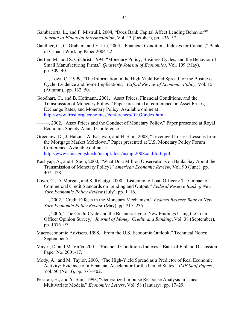- Gambacorta, L., and P. Mistrulli, 2004, "Does Bank Capital Affect Lending Behavior?" *Journal of Financial Intermediation*, Vol. 13 (October), pp. 436–57.
- Gauthier, C., C. Graham, and Y. Liu, 2004, "Financial Conditions Indexes for Canada," Bank of Canada Working Paper 2004-22.
- Gertler, M., and S. Gilchrist, 1994, "Monetary Policy, Business Cycles, and the Behavior of Small Manufacturing Firms," *Quarterly Journal of Economics*, Vol. 109 (May), pp. 309–40.
- –––––, Lown C., 1999, "The Information in the High Yield Bond Spread for the Business Cycle: Evidence and Some Implications," *Oxford Review of Economic Policy*, Vol. 15 (Autumn), pp. 132–50.
- Goodhart, C., and B. Hofmann, 2001, "Asset Prices, Financial Conditions, and the Transmission of Monetary Policy," Paper presented at conference on Asset Prices, Exchange Rates, and Monetary Policy. Available online at: <http://www.frbsf.org/economics/conferences/0103/index.html>

–––––, 2002, "Asset Prices and the Conduct of Monetary Policy," Paper presented at Royal Economic Society Annual Conference.

- Greenlaw, D., J. Hatzius, A. Kashyap, and H. Shin, 2008, "Leveraged Losses: Lessons from the Mortgage Market Meltdown," Paper presented at U.S. Monetary Policy Forum Conference. Available online at: <http://www.chicagogsb.edu/usmpf/docs/usmpf2008confdraft.pdf>
- Kashyap, A., and J. Stein, 2000, "What Do a Million Observations on Banks Say About the Transmission of Monetary Policy?" *American Economic Review*, Vol. 90 (June), pp. 407–428.
- Lown, C., D. Morgan, and S. Rohatgi, 2000, "Listening to Loan Officers: The Impact of Commercial Credit Standards on Lending and Output," *Federal Reserve Bank of New York Economic Policy Review* (July), pp. 1–16.
- –––––, 2002, "Credit Effects in the Monetary Mechanism," *Federal Reserve Bank of New York Economic Policy Review* (May), pp. 217–235.
- –––––, 2006, "The Credit Cycle and the Business Cycle: New Findings Using the Loan Officer Opinion Survey," *Journal of Money, Credit, and Banking*, Vol. 38 (September), pp. 1575–97.
- Macroeconomic Advisers, 1998, "From the U.S. Economic Outlook," Technical Notes: September 5.
- Mayes, D. and M. Virén, 2001, "Financial Conditions Indexes," Bank of Finland Discussion Paper No. 2001-17.
- Mody, A., and M. Taylor, 2003, "The High-Yield Spread as a Predictor of Real Economic Activity: Evidence of a Financial Accelerator for the United States," *IMF Staff Papers*, Vol. 50 (No. 3), pp. 373–402.
- Pesaran, H., and Y. Shin, 1998, "Generalized Impulse Response Analysis in Linear Multivariate Models," *Economics Letters*, Vol. 58 (January), pp. 17–29.